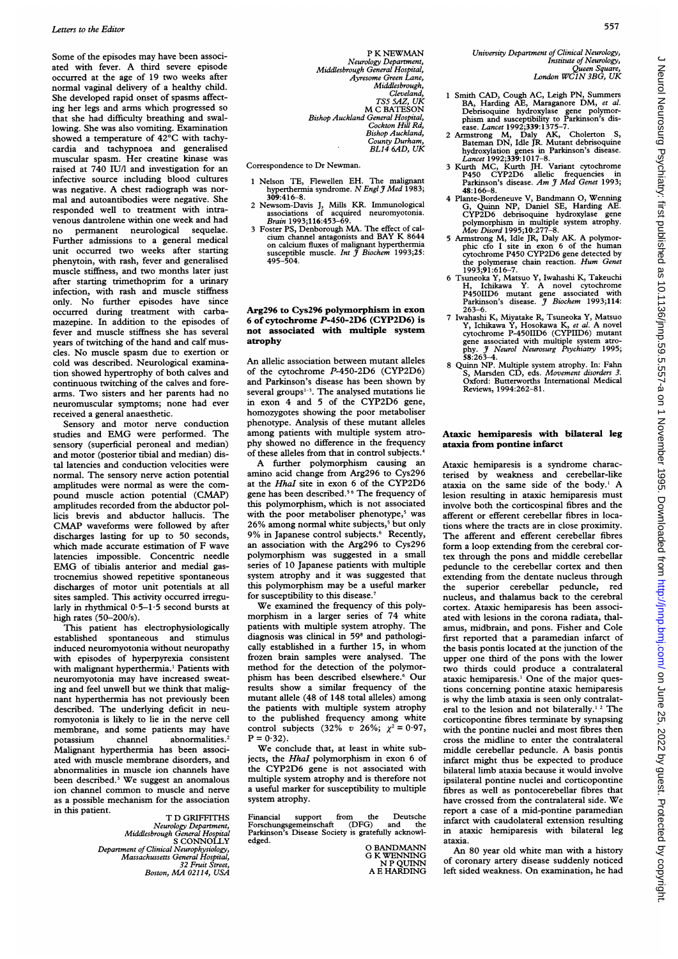Some of the episodes may have been associated with fever. A third severe episode occurred at the age of 19 two weeks after normal vaginal delivery of a healthy child. She developed rapid onset of spasms affecting her legs and arms which progressed so that she had difficulty breathing and swallowing. She was also vomiting. Examination showed a temperature of 42°C with tachycardia and tachypnoea and generalised muscular spasm. Her creatine kinase was raised at 740 IU/l and investigation for an infective source including blood cultures was negative. A chest radiograph was normal and autoantibodies were negative. She responded well to treatment with intravenous dantrolene within one week and had<br>no permanent neurological sequelae. no permanent neurological Further admissions to a general medical unit occurred two weeks after starting phenytoin, with rash, fever and generalised muscle stiffness, and two months later just after starting trimethoprim for a urinary infection, with rash and muscle stiffness only. No further episodes have since occurred during treatment with carbamazepine. In addition to the episodes of fever and muscle stiffness she has several years of twitching of the hand and calf muscles. No muscle spasm due to exertion or cold was described. Neurological examination showed hypertrophy of both calves and continuous twitching of the calves and forearms. Two sisters and her parents had no neuromuscular symptoms; none had ever received a general anaesthetic.

Sensory and motor nerve conduction studies and EMG were performed. The sensory (superficial peroneal and median) and motor (posterior tibial and median) distal latencies and conduction velocities were normal. The sensory nerve action potential amplitudes were normal as were the compound muscle action potential (CMAP) amplitudes recorded from the abductor pollicis brevis and abductor hallucis. The CMAP waveforms were followed by after discharges lasting for up to 50 seconds, which made accurate estimation of F wave latencies impossible. Concentric needle EMG of tibialis anterior and medial gastrocnemius showed repetitive spontaneous discharges of motor unit potentials at all sites sampled. This activity occurred irregularly in rhythmical  $0.5-1.5$  second bursts at high rates (50-200/s).

This patient has electrophysiologically established spontaneous and stimulus induced neuromyotonia without neuropathy with episodes of hyperpyrexia consistent with malignant hyperthermia.' Patients with neuromyotonia may have increased sweating and feel unwell but we think that malignant hyperthermia has not previously been described. The underlying deficit in neuromyotonia is likely to lie in the nerve cell membrane, and some patients may have potassium channel abnormalities.<sup>2</sup> Malignant hyperthermia has been associated with muscle membrane disorders, and abnormalities in muscle ion channels have been described.' We suggest an anomalous ion channel common to muscle and nerve as a possible mechanism for the association in this patient.

T D GRIFFITHS Neurology Department, Middlesbrough General Hospital <sup>S</sup> CONNOLLY Department of Clinical Neurophysiology, Massachussetts General Hospital, 32 Fruit Street, Boston, MA 02114, USA

P K NEWMAN Neurology Department, Middlesbrough General Hospital, Ayresome Green Lane, *Middlesbrough* Cleveland, TS5 SAZ, UK M <sup>C</sup> BATESON Bishop Auckland General Hospital, Cockton Hill Rd, Bishop Auckland, County Durham, BL14 6AD, UK

Correspondence to Dr Newman.

- 1 Nelson TE, Flewellen EH. The malignant hyperthermia syndrome. N Engl J Med 1983;
- 3099:416-8.<br>
2 Newsom-Davis J, Mills KR. Immunological<br>
associations of acquired neuromyotonia.<br> *Brain* 1993;116:453-69.<br>
3 Foster PS, Denborough MA. The effect of cal-<br>
cium channel antagonists and BAY K 8644
- on calcium fluxes of malignant hyperthermia<br>susceptible muscle. *Int J Biochem* 1993;25:<br>495–504.

## Arg296 to Cys296 polymorphism in exon 6 of cytochrome P-450-2D6 (CYP2D6) is not associated with multiple system atrophy

An allelic association between mutant alleles of the cytochrome P-450-2D6 (CYP2D6) and Parkinson's disease has been shown by several groups<sup>1-3</sup>. The analysed mutations lie in exon 4 and <sup>5</sup> of the CYP2D6 gene, homozygotes showing the poor metaboliser phenotype. Analysis of these mutant alleles among patients with multiple system atrophy showed no difference in the frequency of these alleles from that in control subjects.4

A further polymorphism causing an amino acid change from Arg296 to Cys296 at the HhaI site in exon <sup>6</sup> of the CYP2D6 gene has been described.56 The frequency of this polymorphism, which is not associated with the poor metaboliser phenotype,<sup>5</sup> was 26% among normal white subjects,<sup>5</sup> but only 9% in Japanese control subjects.<sup>6</sup> Recently, an association with the Arg296 to Cys296 polymorphism was suggested in a small series of 10 Japanese patients with multiple system atrophy and it was suggested that this polymorphism may be <sup>a</sup> useful marker for susceptibility to this disease.<sup>7</sup>

We examined the frequency of this polymorphism in a larger series of 74 white patients with multiple system atrophy. The diagnosis was clinical in 598 and pathologically established in <sup>a</sup> further 15, in whom frozen brain samples were analysed. The method for the detection of the polymorphism has been described elsewhere.<sup>6</sup> Our results show a similar frequency of the mutant allele (48 of 148 total alleles) among the patients with multiple system atrophy to the published frequency among white control subjects (32% v 26%;  $\chi^2 = 0.97$ ,  $P = 0.32$ .

We conclude that, at least in white subjects, the HhaI polymorphism in exon 6 of the CYP2D6 gene is not associated with multiple system atrophy and is therefore not a useful marker for susceptibility to multiple system atrophy.

Financial support from the Deutsche Forschungsgemeinschaft (DFG) and the Parkinson's Disease Society is gratefully acknowledged.

0 BANDMANN G K WENNING N P QUINN A E HARDING

University Department of Clinical Neurology, Institute of Neurology,

Queen Square, London WClN 3BG, UK

- 1 Smith CAD, Cough AC, Leigh PN, Summers<br>
BA, Harding AE, Maraganore DM, et al.<br>
Debrisoquine hydroxylase gene polymor-<br>
phism and susceptibility to Parkinson's dis-<br>
case. Lancet 1992;339:1375-7.<br>
2 Armstrong M, Daly AK,
- ease. *Lancet* 1992;339:1373-7.<br>2 Armstrong M, Daly AK, Cholerton S, Bateman DN, Idle JR. Mutant debrisoquine hydroxylation genes in Parkinson's disease.<br>Lancet 1992;339:1017–8.
- 3 Kurth MC, Kurth JH. Variant cytochrome<br>
P450 CYP2D6 allelic frequencies in<br>
Parkinson's disease. Am J Med Genet 1993;
- 48: 166-8. 4 Plante-Bordeneuve V, Bandmann 0, Wenning G, Quinn NP, Daniel SE, Harding AE. CYP2D6 debrisoquine hydroxylase gene polymorphism in multiple system atrophy.<br>Mov Disord 1995;10:277-8.
- <sup>5</sup> Armstrong M, Idle JR, Daly AK. A polymor-phic cfo <sup>I</sup> site in exon 6 of the human cytochrome P450 CYP2D6 gene detected by the polymerase chain reaction. Hum Genet<br>1993;91:616–7.
- 6 Tsuneoka Y, Matsuo Y, Iwahashi K, Takeuchi<br>H, Ichikawa Y. A novel cytochrome<br>P450IID6 mutant gene associated with<br>Parkinson's disease. *J Biochem* 1993;114:  $263 - 6$
- 7 Iwahashi K, Miyatake R, Tsuneoka Y, Matsuo Y, Ichikawa Ý, Hosokawa K, et al. A novel<br>cytochrome P-450IID6 (CYPIID6) mutant gene associated with multiple system atro-<br>phy. *J Neurol Neurosurg Psychiatry* 1995;<br>58:263-4.<br>8 Quinn NP. Multiple system atrophy. In: Fahn
- S, Marsden CD, eds. Movement disorders 3. Oxford: Butterworths International Medical Reviews, 1994:262-81.

## Ataxic hemiparesis with bilateral leg ataxia from pontine infarct

Ataxic hemiparesis is a syndrome characterised by weakness and cerebellar-like ataxia on the same side of the body.' A lesion resulting in ataxic hemiparesis must involve both the corticospinal fibres and the afferent or efferent cerebellar fibres in locations where the tracts are in close proximity. The afferent and efferent cerebellar fibres form a loop extending from the cerebral cortex through the pons and middle cerebellar peduncle to the cerebellar cortex and then extending from the dentate nucleus through the superior cerebellar peduncle, red nucleus, and thalamus back to the cerebral cortex. Ataxic hemiparesis has been associated with lesions in the corona radiata, thalamus, midbrain, and pons. Fisher and Cole first reported that a paramedian infarct of the basis pontis located at the junction of the upper one third of the pons with the lower two thirds could produce a contralateral ataxic hemiparesis.<sup>1</sup> One of the major questions concerning pontine ataxic hemiparesis is why the limb ataxia is seen only contralateral to the lesion and not bilaterally.<sup>12</sup> The corticopontine fibres terminate by synapsing with the pontine nuclei and most fibres then cross the midline to enter the contralateral middle cerebellar peduncle. A basis pontis infarct might thus be expected to produce bilateral limb ataxia because it would involve ipsilateral pontine nuclei and corticopontine fibres as well as pontocerebellar fibres that have crossed from the contralateral side. We report a case of a mid-pontine paramedian infarct with caudolateral extension resulting in ataxic hemiparesis with bilateral leg ataxia.

An 80 year old white man with <sup>a</sup> history of coronary artery disease suddenly noticed left sided weakness. On examination, he had